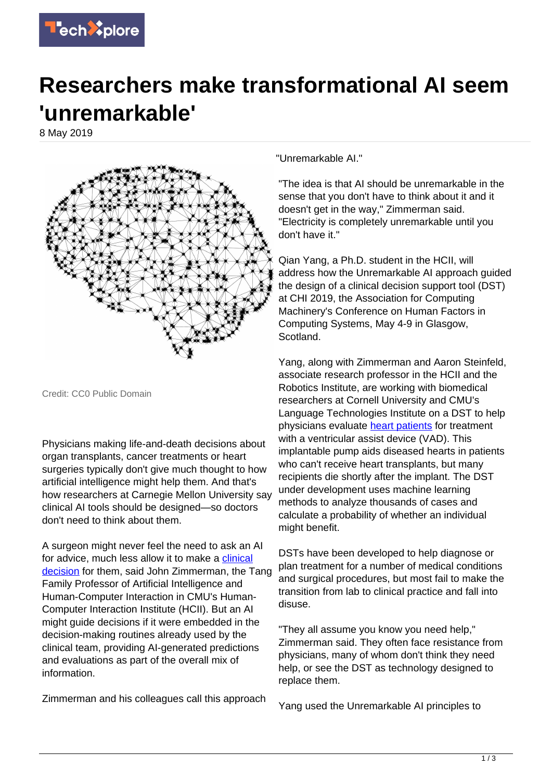

## **Researchers make transformational AI seem 'unremarkable'**

8 May 2019



Credit: CC0 Public Domain

Physicians making life-and-death decisions about organ transplants, cancer treatments or heart surgeries typically don't give much thought to how artificial intelligence might help them. And that's how researchers at Carnegie Mellon University say clinical AI tools should be designed—so doctors don't need to think about them.

A surgeon might never feel the need to ask an AI for advice, much less allow it to make a [clinical](https://techxplore.com/tags/clinical+decision/) [decision](https://techxplore.com/tags/clinical+decision/) for them, said John Zimmerman, the Tang Family Professor of Artificial Intelligence and Human-Computer Interaction in CMU's Human-Computer Interaction Institute (HCII). But an AI might guide decisions if it were embedded in the decision-making routines already used by the clinical team, providing AI-generated predictions and evaluations as part of the overall mix of information.

Zimmerman and his colleagues call this approach

"Unremarkable AI."

"The idea is that AI should be unremarkable in the sense that you don't have to think about it and it doesn't get in the way," Zimmerman said. "Electricity is completely unremarkable until you don't have it."

Qian Yang, a Ph.D. student in the HCII, will address how the Unremarkable AI approach guided the design of a clinical decision support tool (DST) at CHI 2019, the Association for Computing Machinery's Conference on Human Factors in Computing Systems, May 4-9 in Glasgow, Scotland.

Yang, along with Zimmerman and Aaron Steinfeld, associate research professor in the HCII and the Robotics Institute, are working with biomedical researchers at Cornell University and CMU's Language Technologies Institute on a DST to help physicians evaluate [heart patients](https://techxplore.com/tags/heart+patients/) for treatment with a ventricular assist device (VAD). This implantable pump aids diseased hearts in patients who can't receive heart transplants, but many recipients die shortly after the implant. The DST under development uses machine learning methods to analyze thousands of cases and calculate a probability of whether an individual might benefit.

DSTs have been developed to help diagnose or plan treatment for a number of medical conditions and surgical procedures, but most fail to make the transition from lab to clinical practice and fall into disuse.

"They all assume you know you need help," Zimmerman said. They often face resistance from physicians, many of whom don't think they need help, or see the DST as technology designed to replace them.

Yang used the Unremarkable AI principles to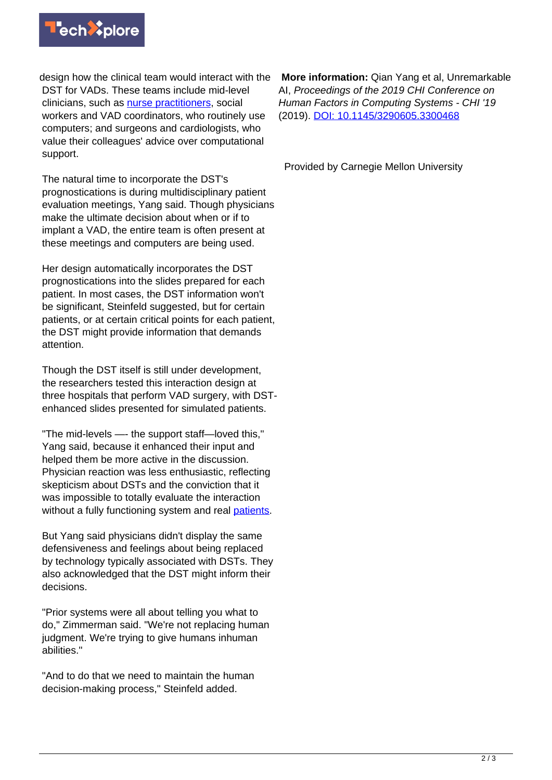

design how the clinical team would interact with the DST for VADs. These teams include mid-level clinicians, such as [nurse practitioners,](https://techxplore.com/tags/nurse+practitioners/) social workers and VAD coordinators, who routinely use computers; and surgeons and cardiologists, who value their colleagues' advice over computational support.

The natural time to incorporate the DST's prognostications is during multidisciplinary patient evaluation meetings, Yang said. Though physicians make the ultimate decision about when or if to implant a VAD, the entire team is often present at these meetings and computers are being used.

Her design automatically incorporates the DST prognostications into the slides prepared for each patient. In most cases, the DST information won't be significant, Steinfeld suggested, but for certain patients, or at certain critical points for each patient, the DST might provide information that demands attention.

Though the DST itself is still under development, the researchers tested this interaction design at three hospitals that perform VAD surgery, with DSTenhanced slides presented for simulated patients.

"The mid-levels —- the support staff—loved this," Yang said, because it enhanced their input and helped them be more active in the discussion. Physician reaction was less enthusiastic, reflecting skepticism about DSTs and the conviction that it was impossible to totally evaluate the interaction without a fully functioning system and real [patients.](https://techxplore.com/tags/patients/)

But Yang said physicians didn't display the same defensiveness and feelings about being replaced by technology typically associated with DSTs. They also acknowledged that the DST might inform their decisions.

"Prior systems were all about telling you what to do," Zimmerman said. "We're not replacing human judgment. We're trying to give humans inhuman abilities."

"And to do that we need to maintain the human decision-making process," Steinfeld added.

 **More information:** Qian Yang et al, Unremarkable AI, Proceedings of the 2019 CHI Conference on Human Factors in Computing Systems - CHI '19 (2019). [DOI: 10.1145/3290605.3300468](http://dx.doi.org/10.1145/3290605.3300468)

Provided by Carnegie Mellon University